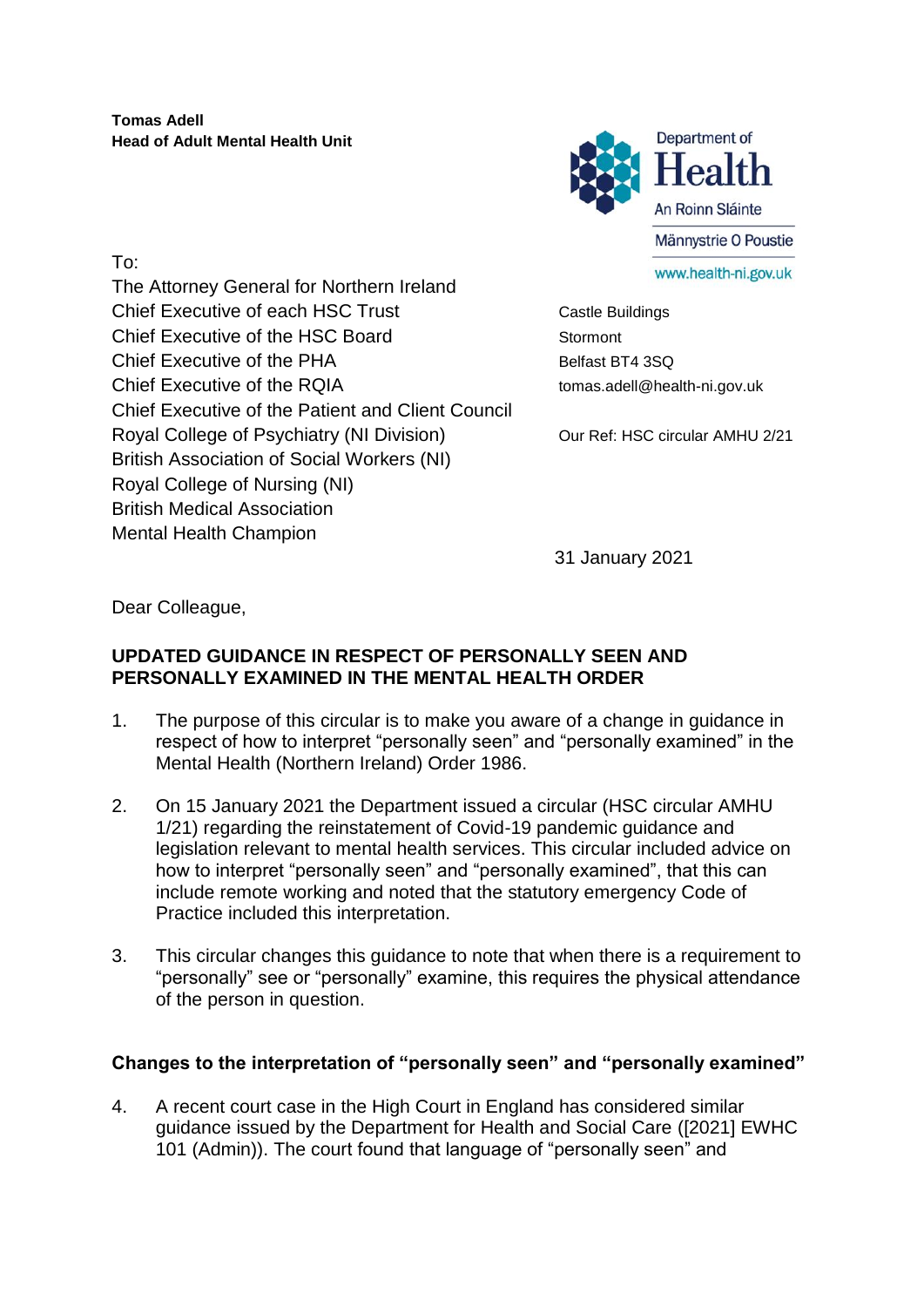**Tomas Adell Head of Adult Mental Health Unit**



The Attorney General for Northern Ireland Chief Executive of each HSC Trust Castle Buildings Chief Executive of the HSC Board Stormont Chief Executive of the PHA Belfast BT4 3SQ Chief Executive of the RQIA tomas.adell@health-ni.gov.uk Chief Executive of the Patient and Client Council Royal College of Psychiatry (NI Division) Our Ref: HSC circular AMHU 2/21 British Association of Social Workers (NI) Royal College of Nursing (NI) British Medical Association Mental Health Champion

31 January 2021

Dear Colleague,

To:

## **UPDATED GUIDANCE IN RESPECT OF PERSONALLY SEEN AND PERSONALLY EXAMINED IN THE MENTAL HEALTH ORDER**

- 1. The purpose of this circular is to make you aware of a change in guidance in respect of how to interpret "personally seen" and "personally examined" in the Mental Health (Northern Ireland) Order 1986.
- 2. On 15 January 2021 the Department issued a circular (HSC circular AMHU 1/21) regarding the reinstatement of Covid-19 pandemic guidance and legislation relevant to mental health services. This circular included advice on how to interpret "personally seen" and "personally examined", that this can include remote working and noted that the statutory emergency Code of Practice included this interpretation.
- 3. This circular changes this guidance to note that when there is a requirement to "personally" see or "personally" examine, this requires the physical attendance of the person in question.

## **Changes to the interpretation of "personally seen" and "personally examined"**

4. A recent court case in the High Court in England has considered similar guidance issued by the Department for Health and Social Care ([2021] EWHC 101 (Admin)). The court found that language of "personally seen" and